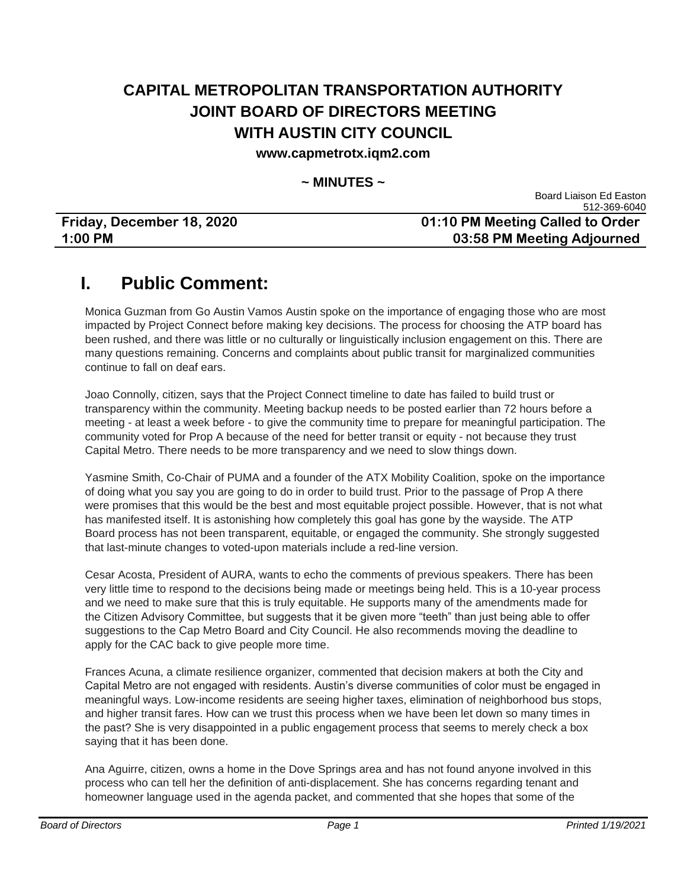### **CAPITAL METROPOLITAN TRANSPORTATION AUTHORITY JOINT BOARD OF DIRECTORS MEETING WITH AUSTIN CITY COUNCIL**

#### **www.capmetrotx.iqm2.com**

#### **~ MINUTES ~**

|                           | 512-369-6040                     |
|---------------------------|----------------------------------|
| Friday, December 18, 2020 | 01:10 PM Meeting Called to Order |
| $1:00$ PM                 | 03:58 PM Meeting Adjourned       |

### **I. Public Comment:**

Monica Guzman from Go Austin Vamos Austin spoke on the importance of engaging those who are most impacted by Project Connect before making key decisions. The process for choosing the ATP board has been rushed, and there was little or no culturally or linguistically inclusion engagement on this. There are many questions remaining. Concerns and complaints about public transit for marginalized communities continue to fall on deaf ears.

Joao Connolly, citizen, says that the Project Connect timeline to date has failed to build trust or transparency within the community. Meeting backup needs to be posted earlier than 72 hours before a meeting - at least a week before - to give the community time to prepare for meaningful participation. The community voted for Prop A because of the need for better transit or equity - not because they trust Capital Metro. There needs to be more transparency and we need to slow things down.

Yasmine Smith, Co-Chair of PUMA and a founder of the ATX Mobility Coalition, spoke on the importance of doing what you say you are going to do in order to build trust. Prior to the passage of Prop A there were promises that this would be the best and most equitable project possible. However, that is not what has manifested itself. It is astonishing how completely this goal has gone by the wayside. The ATP Board process has not been transparent, equitable, or engaged the community. She strongly suggested that last-minute changes to voted-upon materials include a red-line version.

Cesar Acosta, President of AURA, wants to echo the comments of previous speakers. There has been very little time to respond to the decisions being made or meetings being held. This is a 10-year process and we need to make sure that this is truly equitable. He supports many of the amendments made for the Citizen Advisory Committee, but suggests that it be given more "teeth" than just being able to offer suggestions to the Cap Metro Board and City Council. He also recommends moving the deadline to apply for the CAC back to give people more time.

Frances Acuna, a climate resilience organizer, commented that decision makers at both the City and Capital Metro are not engaged with residents. Austin's diverse communities of color must be engaged in meaningful ways. Low-income residents are seeing higher taxes, elimination of neighborhood bus stops, and higher transit fares. How can we trust this process when we have been let down so many times in the past? She is very disappointed in a public engagement process that seems to merely check a box saying that it has been done.

Ana Aguirre, citizen, owns a home in the Dove Springs area and has not found anyone involved in this process who can tell her the definition of anti-displacement. She has concerns regarding tenant and homeowner language used in the agenda packet, and commented that she hopes that some of the

Board Liaison Ed Easton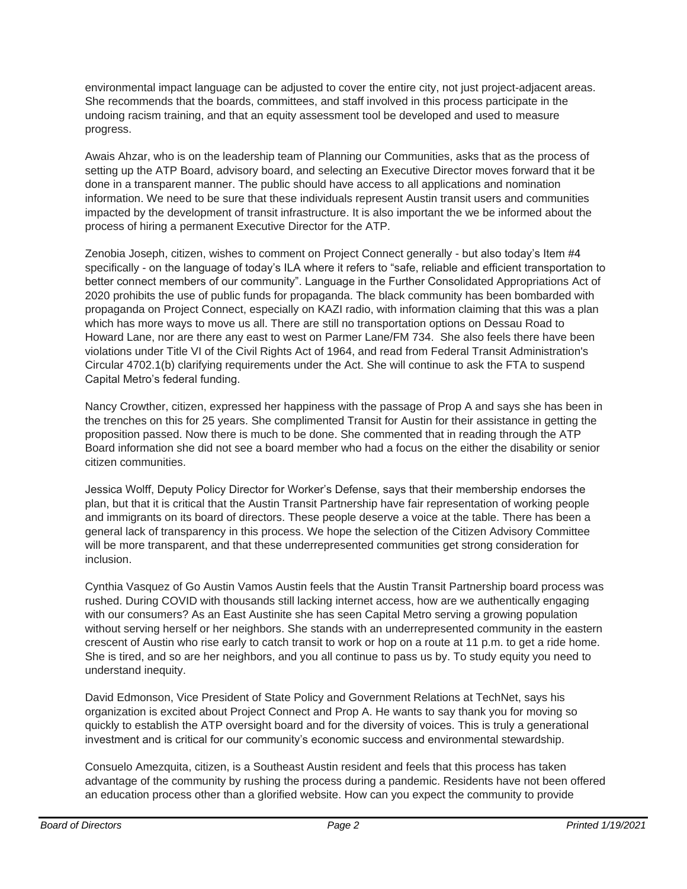environmental impact language can be adjusted to cover the entire city, not just project-adjacent areas. She recommends that the boards, committees, and staff involved in this process participate in the undoing racism training, and that an equity assessment tool be developed and used to measure progress.

Awais Ahzar, who is on the leadership team of Planning our Communities, asks that as the process of setting up the ATP Board, advisory board, and selecting an Executive Director moves forward that it be done in a transparent manner. The public should have access to all applications and nomination information. We need to be sure that these individuals represent Austin transit users and communities impacted by the development of transit infrastructure. It is also important the we be informed about the process of hiring a permanent Executive Director for the ATP.

Zenobia Joseph, citizen, wishes to comment on Project Connect generally - but also today's Item #4 specifically - on the language of today's ILA where it refers to "safe, reliable and efficient transportation to better connect members of our community". Language in the Further Consolidated Appropriations Act of 2020 prohibits the use of public funds for propaganda. The black community has been bombarded with propaganda on Project Connect, especially on KAZI radio, with information claiming that this was a plan which has more ways to move us all. There are still no transportation options on Dessau Road to Howard Lane, nor are there any east to west on Parmer Lane/FM 734. She also feels there have been violations under Title VI of the Civil Rights Act of 1964, and read from Federal Transit Administration's Circular 4702.1(b) clarifying requirements under the Act. She will continue to ask the FTA to suspend Capital Metro's federal funding.

Nancy Crowther, citizen, expressed her happiness with the passage of Prop A and says she has been in the trenches on this for 25 years. She complimented Transit for Austin for their assistance in getting the proposition passed. Now there is much to be done. She commented that in reading through the ATP Board information she did not see a board member who had a focus on the either the disability or senior citizen communities.

Jessica Wolff, Deputy Policy Director for Worker's Defense, says that their membership endorses the plan, but that it is critical that the Austin Transit Partnership have fair representation of working people and immigrants on its board of directors. These people deserve a voice at the table. There has been a general lack of transparency in this process. We hope the selection of the Citizen Advisory Committee will be more transparent, and that these underrepresented communities get strong consideration for inclusion.

Cynthia Vasquez of Go Austin Vamos Austin feels that the Austin Transit Partnership board process was rushed. During COVID with thousands still lacking internet access, how are we authentically engaging with our consumers? As an East Austinite she has seen Capital Metro serving a growing population without serving herself or her neighbors. She stands with an underrepresented community in the eastern crescent of Austin who rise early to catch transit to work or hop on a route at 11 p.m. to get a ride home. She is tired, and so are her neighbors, and you all continue to pass us by. To study equity you need to understand inequity.

David Edmonson, Vice President of State Policy and Government Relations at TechNet, says his organization is excited about Project Connect and Prop A. He wants to say thank you for moving so quickly to establish the ATP oversight board and for the diversity of voices. This is truly a generational investment and is critical for our community's economic success and environmental stewardship.

Consuelo Amezquita, citizen, is a Southeast Austin resident and feels that this process has taken advantage of the community by rushing the process during a pandemic. Residents have not been offered an education process other than a glorified website. How can you expect the community to provide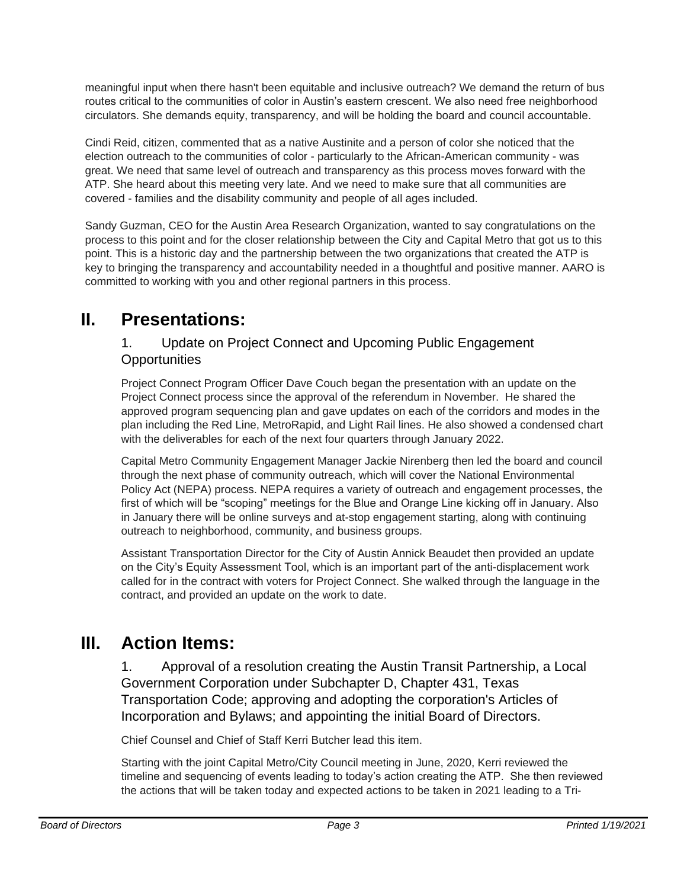meaningful input when there hasn't been equitable and inclusive outreach? We demand the return of bus routes critical to the communities of color in Austin's eastern crescent. We also need free neighborhood circulators. She demands equity, transparency, and will be holding the board and council accountable.

Cindi Reid, citizen, commented that as a native Austinite and a person of color she noticed that the election outreach to the communities of color - particularly to the African-American community - was great. We need that same level of outreach and transparency as this process moves forward with the ATP. She heard about this meeting very late. And we need to make sure that all communities are covered - families and the disability community and people of all ages included.

Sandy Guzman, CEO for the Austin Area Research Organization, wanted to say congratulations on the process to this point and for the closer relationship between the City and Capital Metro that got us to this point. This is a historic day and the partnership between the two organizations that created the ATP is key to bringing the transparency and accountability needed in a thoughtful and positive manner. AARO is committed to working with you and other regional partners in this process.

## **II. Presentations:**

#### 1. Update on Project Connect and Upcoming Public Engagement **Opportunities**

Project Connect Program Officer Dave Couch began the presentation with an update on the Project Connect process since the approval of the referendum in November. He shared the approved program sequencing plan and gave updates on each of the corridors and modes in the plan including the Red Line, MetroRapid, and Light Rail lines. He also showed a condensed chart with the deliverables for each of the next four quarters through January 2022.

Capital Metro Community Engagement Manager Jackie Nirenberg then led the board and council through the next phase of community outreach, which will cover the National Environmental Policy Act (NEPA) process. NEPA requires a variety of outreach and engagement processes, the first of which will be "scoping" meetings for the Blue and Orange Line kicking off in January. Also in January there will be online surveys and at-stop engagement starting, along with continuing outreach to neighborhood, community, and business groups.

Assistant Transportation Director for the City of Austin Annick Beaudet then provided an update on the City's Equity Assessment Tool, which is an important part of the anti-displacement work called for in the contract with voters for Project Connect. She walked through the language in the contract, and provided an update on the work to date.

# **III. Action Items:**

1. Approval of a resolution creating the Austin Transit Partnership, a Local Government Corporation under Subchapter D, Chapter 431, Texas Transportation Code; approving and adopting the corporation's Articles of Incorporation and Bylaws; and appointing the initial Board of Directors.

Chief Counsel and Chief of Staff Kerri Butcher lead this item.

Starting with the joint Capital Metro/City Council meeting in June, 2020, Kerri reviewed the timeline and sequencing of events leading to today's action creating the ATP. She then reviewed the actions that will be taken today and expected actions to be taken in 2021 leading to a Tri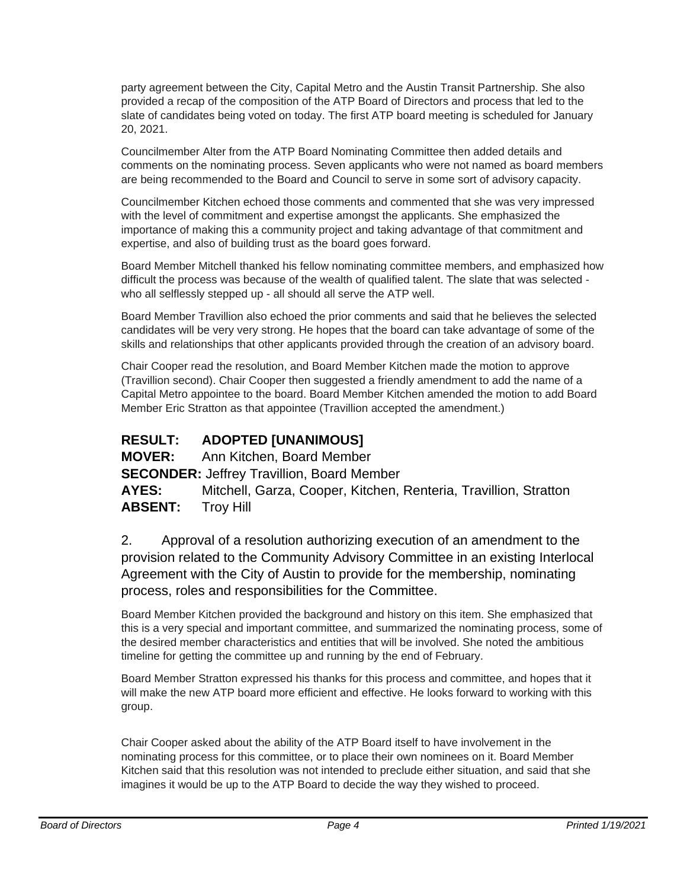party agreement between the City, Capital Metro and the Austin Transit Partnership. She also provided a recap of the composition of the ATP Board of Directors and process that led to the slate of candidates being voted on today. The first ATP board meeting is scheduled for January 20, 2021.

Councilmember Alter from the ATP Board Nominating Committee then added details and comments on the nominating process. Seven applicants who were not named as board members are being recommended to the Board and Council to serve in some sort of advisory capacity.

Councilmember Kitchen echoed those comments and commented that she was very impressed with the level of commitment and expertise amongst the applicants. She emphasized the importance of making this a community project and taking advantage of that commitment and expertise, and also of building trust as the board goes forward.

Board Member Mitchell thanked his fellow nominating committee members, and emphasized how difficult the process was because of the wealth of qualified talent. The slate that was selected who all selflessly stepped up - all should all serve the ATP well.

Board Member Travillion also echoed the prior comments and said that he believes the selected candidates will be very very strong. He hopes that the board can take advantage of some of the skills and relationships that other applicants provided through the creation of an advisory board.

Chair Cooper read the resolution, and Board Member Kitchen made the motion to approve (Travillion second). Chair Cooper then suggested a friendly amendment to add the name of a Capital Metro appointee to the board. Board Member Kitchen amended the motion to add Board Member Eric Stratton as that appointee (Travillion accepted the amendment.)

#### **RESULT: ADOPTED [UNANIMOUS]**

**MOVER:** Ann Kitchen, Board Member

**SECONDER:** Jeffrey Travillion, Board Member

**AYES:** Mitchell, Garza, Cooper, Kitchen, Renteria, Travillion, Stratton **ABSENT:** Troy Hill

2. Approval of a resolution authorizing execution of an amendment to the provision related to the Community Advisory Committee in an existing Interlocal Agreement with the City of Austin to provide for the membership, nominating process, roles and responsibilities for the Committee.

Board Member Kitchen provided the background and history on this item. She emphasized that this is a very special and important committee, and summarized the nominating process, some of the desired member characteristics and entities that will be involved. She noted the ambitious timeline for getting the committee up and running by the end of February.

Board Member Stratton expressed his thanks for this process and committee, and hopes that it will make the new ATP board more efficient and effective. He looks forward to working with this group.

Chair Cooper asked about the ability of the ATP Board itself to have involvement in the nominating process for this committee, or to place their own nominees on it. Board Member Kitchen said that this resolution was not intended to preclude either situation, and said that she imagines it would be up to the ATP Board to decide the way they wished to proceed.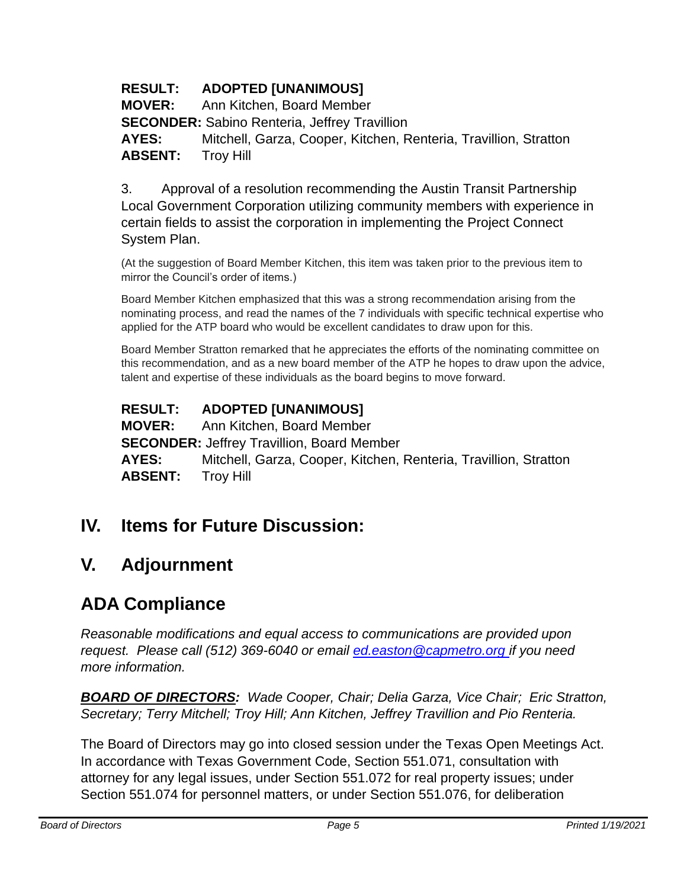### **RESULT: ADOPTED [UNANIMOUS]**

**MOVER:** Ann Kitchen, Board Member

**SECONDER:** Sabino Renteria, Jeffrey Travillion

**AYES:** Mitchell, Garza, Cooper, Kitchen, Renteria, Travillion, Stratton **ABSENT:** Troy Hill

3. Approval of a resolution recommending the Austin Transit Partnership Local Government Corporation utilizing community members with experience in certain fields to assist the corporation in implementing the Project Connect System Plan.

(At the suggestion of Board Member Kitchen, this item was taken prior to the previous item to mirror the Council's order of items.)

Board Member Kitchen emphasized that this was a strong recommendation arising from the nominating process, and read the names of the 7 individuals with specific technical expertise who applied for the ATP board who would be excellent candidates to draw upon for this.

Board Member Stratton remarked that he appreciates the efforts of the nominating committee on this recommendation, and as a new board member of the ATP he hopes to draw upon the advice, talent and expertise of these individuals as the board begins to move forward.

### **RESULT: ADOPTED [UNANIMOUS]**

**MOVER:** Ann Kitchen, Board Member **SECONDER:** Jeffrey Travillion, Board Member **AYES:** Mitchell, Garza, Cooper, Kitchen, Renteria, Travillion, Stratton **ABSENT:** Troy Hill

## **IV. Items for Future Discussion:**

## **V. Adjournment**

# **ADA Compliance**

*Reasonable modifications and equal access to communications are provided upon request. Please call (512) 369-6040 or email ed.easton@capmetro.org if you need more information.*

*BOARD OF DIRECTORS: Wade Cooper, Chair; Delia Garza, Vice Chair; Eric Stratton, Secretary; Terry Mitchell; Troy Hill; Ann Kitchen, Jeffrey Travillion and Pio Renteria.* 

The Board of Directors may go into closed session under the Texas Open Meetings Act. In accordance with Texas Government Code, Section 551.071, consultation with attorney for any legal issues, under Section 551.072 for real property issues; under Section 551.074 for personnel matters, or under Section 551.076, for deliberation